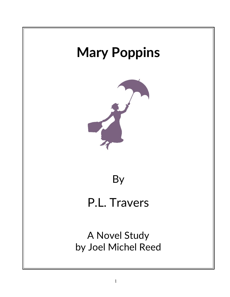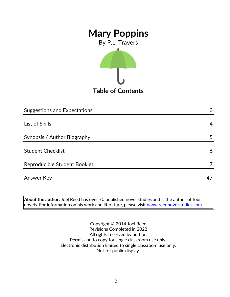By P.L. Travers



**Table of Contents**

| 3  |
|----|
|    |
| 4  |
|    |
| 5  |
|    |
| 6  |
|    |
|    |
| 47 |
|    |

**About the author:** Joel Reed has over 70 published novel studies and is the author of four novels. For information on his work and literature, please visit [www.reednovelstudies.com](http://www.reednovelstudies.com/)

> Copyright © 2014 Joel Reed Revisions Completed in 2022 All rights reserved by author. Permission to copy for single classroom use only. Electronic distribution limited to single classroom use only. Not for public display.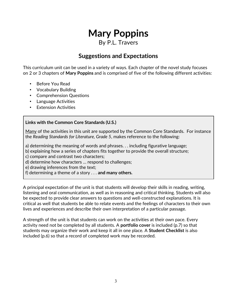## By P.L. Travers

## **Suggestions and Expectations**

This curriculum unit can be used in a variety of ways. Each chapter of the novel study focuses on 2 or 3 chapters of **Mary Poppins** and is comprised of five of the following different activities:

- Before You Read
- Vocabulary Building
- Comprehension Questions
- Language Activities
- Extension Activities

### **Links with the Common Core Standards (U.S.)**

Many of the activities in this unit are supported by the Common Core Standards. For instance the *Reading Standards for Literature, Grade 5*, makes reference to the following:

a) determining the meaning of words and phrases. . . including figurative language;

b) explaining how a series of chapters fits together to provide the overall structure;

c) compare and contrast two characters;

d) determine how characters … respond to challenges;

e) drawing inferences from the text;

f) determining a theme of a story . . . **and many others.**

A principal expectation of the unit is that students will develop their skills in reading, writing, listening and oral communication, as well as in reasoning and critical thinking. Students will also be expected to provide clear answers to questions and well-constructed explanations. It is critical as well that students be able to relate events and the feelings of characters to their own lives and experiences and describe their own interpretation of a particular passage.

A strength of the unit is that students can work on the activities at their own pace. Every activity need not be completed by all students. A **portfolio cover** is included (p.7) so that students may organize their work and keep it all in one place. A **Student Checklist** is also included (p.6) so that a record of completed work may be recorded.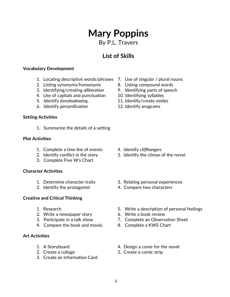By P.L. Travers

# **List of Skills**

### **Vocabulary Development**

- 1. Locating descriptive words/phrases 7. Use of singular / plural nouns
- 2. Listing synonyms/homonyms 8. Listing compound words
- 3. Identifying/creating *alliteration* 9. Identifying parts of speech
- 4. Use of capitals and punctuation 10. Identifying syllables
- 5. Identify *foreshadowing*. 11. Identify/create *similes*
- 6. Identify *personification* 12. Identify anagrams

### **Setting Activities**

1. Summarize the details of a setting

### **Plot Activities**

- 1. Complete a *time line* of events 4. Identify *cliffhangers*
- 
- 3. Complete Five W's Chart

### **Character Activities**

- 
- 

### **Creative and Critical Thinking**

- 
- 2. Write a newspaper story 6. Write a book review
- 
- 4. Compare the book and movie. 8. Complete a KWS Chart

### **Art Activities**

- 
- 
- 3. Create an Information Card
- 
- 
- 
- 
- 
- 

- 
- 2. Identify conflict in the story **5.** Identify the climax of the novel.
- 1. Determine character traits 3. Relating personal experiences
- 2. Identify the protagonist 4. Compare two characters
- 1. Research 5. Write a description of personal feelings
	-
- 3. Participate in a talk show 7. Complete an Observation Sheet
	-
- 1. A Storyboard 4. Design a cover for the novel
- 2. Create a collage 5. Create a comic strip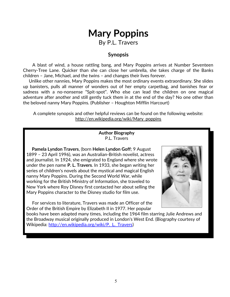# **Mary Poppins** By P.L. Travers

### **Synopsis**

 A blast of wind, a house rattling bang, and Mary Poppins arrives at Number Seventeen Cherry-Tree Lane. Quicker than she can close her umbrella, she takes charge of the Banks children – Jane, Michael, and the twins – and changes their lives forever.

 Unlike other nannies, Mary Poppins makes the most ordinary events extraordinary. She slides up banisters, pulls all manner of wonders out of her empty carpetbag, and banishes fear or sadness with a no-nonsense "Spit-spot". Who else can lead the children on one magical adventure after another and still gently tuck them in at the end of the day? No one other than the beloved nanny Mary Poppins. (Publisher – Houghton Mifflin Harcourt)

A complete synopsis and other helpful reviews can be found on the following website: http://en.wikipedia.org/wiki/Mary\_poppins

### **Author Biography** P.L. Travers

 **Pamela Lyndon Travers**, (born **Helen Lyndon Goff**; 9 August 1899 – 23 April 1996), was an Australian-British novelist, actress and journalist. In 1924, she emigrated to England where she wrote under the pen name **P. L. Travers**. In 1933, she began writing her series of children's novels about the mystical and magical English nanny Mary Poppins. During the Second World War, while working for the British Ministry of Information, she traveled to New York where Roy Disney first contacted her about selling the Mary Poppins character to the Disney studio for film use.

 For services to literature, Travers was made an Officer of the Order of the British Empire by Elizabeth II in 1977. Her popular



books have been adapted many times, including the 1964 film starring Julie Andrews and the Broadway musical originally produced in London's West End. (Biography courtesy of Wikipedia: http://en.wikipedia.org/wiki/P. L. Travers)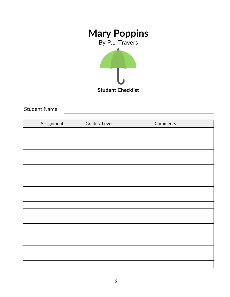By P.L. Travers



Student Name

| Assignment | Grade / Level | Comments |
|------------|---------------|----------|
|            |               |          |
|            |               |          |
|            |               |          |
|            |               |          |
|            |               |          |
|            |               |          |
|            |               |          |
|            |               |          |
|            |               |          |
|            |               |          |
|            |               |          |
|            |               |          |
|            |               |          |
|            |               |          |
|            |               |          |
|            |               |          |
|            |               |          |
|            |               |          |
|            |               |          |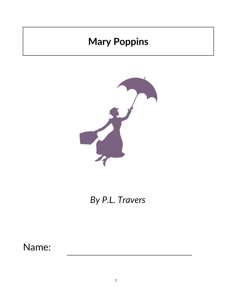

*By P.L. Travers*

Name: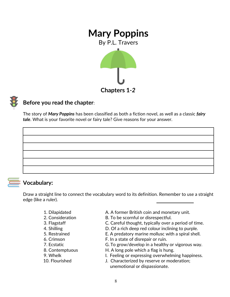

**Chapters 1***-2*



## **Before you read the chapter**:

The story of *Mary Poppins* has been classified as both a fiction novel, as well as a classic *fairy tale*. What is your favorite novel or fairy tale? Give reasons for your answer.



### **Vocabulary:**

Draw a straight line to connect the vocabulary word to its definition. Remember to use a straight edge (like a ruler).

- 
- 
- 
- 
- 
- 
- 
- 
- 
- 
- 1. Dilapidated **A. A former British coin and monetary unit.**
- 2. Consideration B. To be scornful or disrespectful.
- 3. Flagstaff C. Careful thought, typically over a period of time.
- 4. Shilling **D. Of a rich deep red colour inclining to purple.**
- 5. Restrained E. A predatory marine mollusc with a spiral shell.
- 6. Crimson F. In a state of disrepair or ruin.
- 7. Ecstatic G. To grow/develop in a healthy or vigorous way.
- 8. Contemptuous H. A long pole which a flag is hung.
- 9. Whelk **I. Feeling or expressing overwhelming happiness.**
- 10. Flourished J. Characterized by reserve or moderation; unemotional or dispassionate.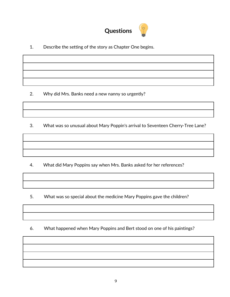

1. Describe the setting of the story as Chapter One begins.

2. Why did Mrs. Banks need a new nanny so urgently?

3. What was so unusual about Mary Poppin's arrival to Seventeen Cherry-Tree Lane?

4. What did Mary Poppins say when Mrs. Banks asked for her references?

- 5. What was so special about the medicine Mary Poppins gave the children?
- 6. What happened when Mary Poppins and Bert stood on one of his paintings?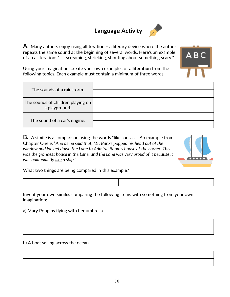## **Language Activity**



**A**. Many authors enjoy using **alliteration –** a literary device where the author repeats the same sound at the beginning of several words. Here's an example of an alliteration: ". . . **s**creaming, **s**hrieking, **s**houting about **s**omething **s**cary."

Using your imagination, create your own examples of **alliteration** from the following topics. Each example must contain a minimum of three words.

| The sounds of a rainstorm.                         |  |
|----------------------------------------------------|--|
| The sounds of children playing on<br>a playground. |  |
| The sound of a car's engine.                       |  |

**B.** A **simile** is a comparison using the words "like" or "as". An example from Chapter One is "*And as he said that, Mr. Banks popped his head out of the window and looked down the Lane to Admiral Boom's house at the corner. This was the grandest house in the Lane, and the Lane was very proud of it because it was built exactly like a ship.*"



ABC

What two things are being compared in this example?

Invent your own **similes** comparing the following items with something from your own imagination:

a) Mary Poppins flying with her umbrella.

b) A boat sailing across the ocean.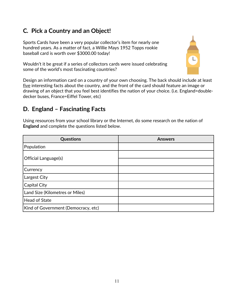## **C***.* **Pick a Country and an Object!**

Sports Cards have been a very popular collector's item for nearly one hundred years. As a matter of fact, a Willie Mays 1952 Topps rookie baseball card is worth over \$3000.00 today!

Wouldn't it be great if a series of collectors cards were issued celebrating some of the world's most fascinating countries?



Design an information card on a country of your own choosing. The back should include at least five interesting facts about the country, and the front of the card should feature an image or drawing of an object that you feel best identifies the nation of your choice. (i.e. England=doubledecker buses, France=Eiffel Tower, etc)

## **D. England – Fascinating Facts**

Using resources from your school library or the Internet, do some research on the nation of **England** and complete the questions listed below.

| <b>Questions</b>                    | <b>Answers</b> |
|-------------------------------------|----------------|
| Population                          |                |
|                                     |                |
| Official Language(s)                |                |
| Currency                            |                |
| Largest City                        |                |
| Capital City                        |                |
| Land Size (Kilometres or Miles)     |                |
| Head of State                       |                |
| Kind of Government (Democracy, etc) |                |